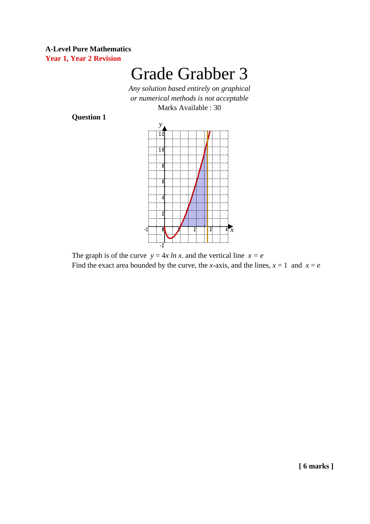#### **A-Level Pure Mathematics Year 1, Year 2 Revision**

# Grade Grabber 3

*Any solution based entirely on graphical or numerical methods is not acceptable* Marks Available : 30

**Question 1**



The graph is of the curve  $y = 4x \ln x$ , and the vertical line  $x = e$ Find the exact area bounded by the curve, the *x*-axis, and the lines,  $x = 1$  and  $x = e$ 

**[ 6 marks ]**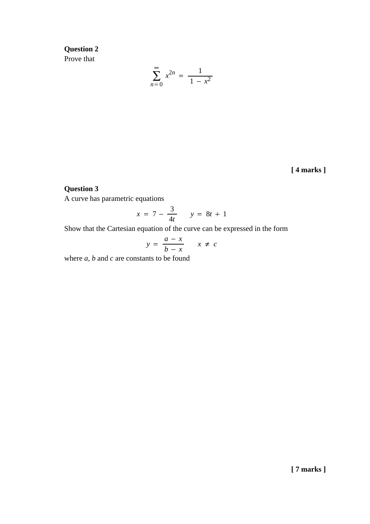# **Question 2** Prove that

$$
\sum_{n=0}^{\infty} x^{2n} = \frac{1}{1 - x^2}
$$

**[ 4 marks ]**

## **Question 3**

A curve has parametric equations

$$
x = 7 - \frac{3}{4t} \qquad y = 8t + 1
$$

Show that the Cartesian equation of the curve can be expressed in the form

$$
y = \frac{a - x}{b - x} \qquad x \neq c
$$

where *a*, *b* and *c* are constants to be found

**[ 7 marks ]**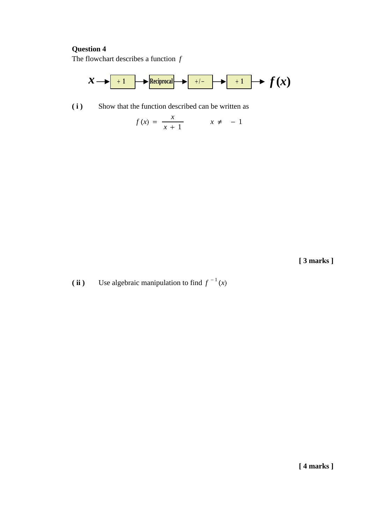## **Question 4**

The flowchart describes a function *f*



**( i )** Show that the function described can be written as

$$
f(x) = \frac{x}{x+1} \qquad x \neq -1
$$

**[ 3 marks ]**

*f* **ii** ) Use algebraic manipulation to find  $f^{-1}(x)$ 

**[ 4 marks ]**